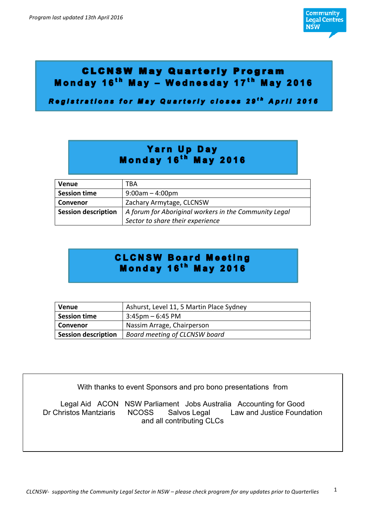

# **CLCNSW May Quarterly Program** Monday 16<sup>th</sup> May - Wednesday 17<sup>th</sup> May 2016

Registrations for May Quarterly closes 29<sup>th</sup> April 2016

# Yarn Up Day Monday 16<sup>th</sup> May 2016

| <b>Venue</b>               | TBA                                                   |
|----------------------------|-------------------------------------------------------|
| <b>Session time</b>        | $9:00am - 4:00pm$                                     |
| <b>Convenor</b>            | Zachary Armytage, CLCNSW                              |
| <b>Session description</b> | A forum for Aboriginal workers in the Community Legal |
|                            | Sector to share their experience                      |

# **CLCNSW Board Meeting**<br>Monday 16<sup>th</sup> May 2016

| <b>Venue</b>               | Ashurst, Level 11, 5 Martin Place Sydney |
|----------------------------|------------------------------------------|
| <b>Session time</b>        | $3:45$ pm – 6:45 PM                      |
| Convenor                   | Nassim Arrage, Chairperson               |
| <b>Session description</b> | Board meeting of CLCNSW board            |

With thanks to event Sponsors and pro bono presentations from

Legal Aid ACON NSW Parliament Jobs Australia Accounting for Good Dr Christos Mantziaris NCOSS Salvos Legal Law and Justice Foundation and all contributing CLCs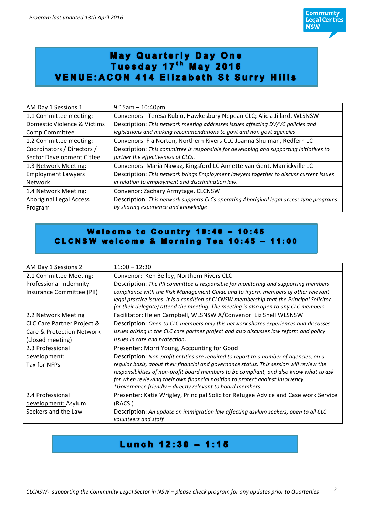# May Quarterly Day One<br>Tuesday 17<sup>th</sup> May 2016 **VENUE:ACON 414 Elizabeth St Surry Hills**

| AM Day 1 Sessions 1            | $9:15am - 10:40pm$                                                                      |
|--------------------------------|-----------------------------------------------------------------------------------------|
| 1.1 Committee meeting:         | Convenors: Teresa Rubio, Hawkesbury Nepean CLC; Alicia Jillard, WLSNSW                  |
| Domestic Violence & Victims    | Description: This network meeting addresses issues affecting DV/VC policies and         |
| Comp Committee                 | legislations and making recommendations to govt and non govt agencies                   |
| 1.2 Committee meeting:         | Convenors: Fia Norton, Northern Rivers CLC Joanna Shulman, Redfern LC                   |
| Coordinators / Directors /     | Description: This committee is responsible for developing and supporting initiatives to |
| Sector Development C'ttee      | further the effectiveness of CLCs.                                                      |
| 1.3 Network Meeting:           | Convenors: Maria Nawaz, Kingsford LC Annette van Gent, Marrickville LC                  |
| <b>Employment Lawyers</b>      | Description: This network brings Employment lawyers together to discuss current issues  |
| Network                        | in relation to employment and discrimination law.                                       |
| 1.4 Network Meeting:           | Convenor: Zachary Armytage, CLCNSW                                                      |
| <b>Aboriginal Legal Access</b> | Description: This network supports CLCs operating Aboriginal legal access type programs |
| Program                        | by sharing experience and knowledge                                                     |

#### Welcome to Country 10:40 - 10:45 CLCNSW welcome & Morning Tea 10:45 - 11:00

| AM Day 1 Sessions 2        | $11:00 - 12:30$                                                                            |
|----------------------------|--------------------------------------------------------------------------------------------|
| 2.1 Committee Meeting:     | Convenor: Ken Beilby, Northern Rivers CLC                                                  |
| Professional Indemnity     | Description: The PII committee is responsible for monitoring and supporting members        |
| Insurance Committee (PII)  | compliance with the Risk Management Guide and to inform members of other relevant          |
|                            | legal practice issues. It is a condition of CLCNSW membership that the Principal Solicitor |
|                            | (or their delegate) attend the meeting. The meeting is also open to any CLC members.       |
| 2.2 Network Meeting        | Facilitator: Helen Campbell, WLSNSW A/Convenor: Liz Snell WLSNSW                           |
| CLC Care Partner Project & | Description: Open to CLC members only this network shares experiences and discusses        |
| Care & Protection Network  | issues arising in the CLC care partner project and also discusses law reform and policy    |
| (closed meeting)           | issues in care and protection.                                                             |
| 2.3 Professional           | Presenter: Morri Young, Accounting for Good                                                |
| development:               | Description: Non-profit entities are required to report to a number of agencies, on a      |
| Tax for NFPs               | regular basis, about their financial and governance status. This session will review the   |
|                            | responsibilities of non-profit board members to be compliant, and also know what to ask    |
|                            | for when reviewing their own financial position to protect against insolvency.             |
|                            | *Governance friendly - directly relevant to board members                                  |
| 2.4 Professional           | Presenter: Katie Wrigley, Principal Solicitor Refugee Advice and Case work Service         |
| development: Asylum        | (RACS)                                                                                     |
| Seekers and the Law        | Description: An update on immigration law affecting asylum seekers, open to all CLC        |
|                            | volunteers and staff.                                                                      |

#### **Lunch 12:30 - 1:15**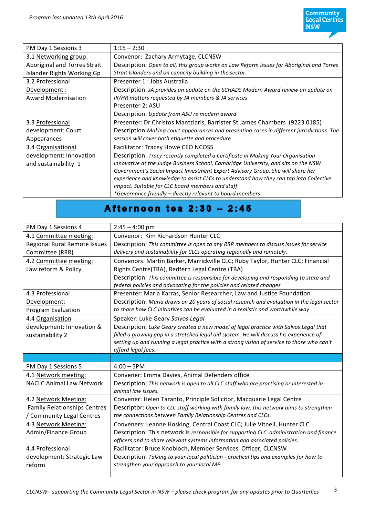| PM Day 1 Sessions 3          | $1:15 - 2:30$                                                                              |
|------------------------------|--------------------------------------------------------------------------------------------|
| 3.1 Networking group:        | Convenor: Zachary Armytage, CLCNSW                                                         |
| Aboriginal and Torres Strait | Description: Open to all, this group works on Law Reform issues for Aboriginal and Torres  |
| Islander Rights Working Gp   | Strait Islanders and on capacity building in the sector.                                   |
| 3.2 Professional             | Presenter 1 : Jobs Australia                                                               |
| Development :                | Description: JA provides an update on the SCHADS Modern Award review an update on          |
| Award Modernisation          | IR/HR matters requested by JA members & JA services                                        |
|                              | Presenter 2: ASU                                                                           |
|                              | Description: Update from ASU re modern award                                               |
| 3.3 Professional             | Presenter: Dr Christos Mantziaris, Barrister St James Chambers (9223 0185)                 |
| development: Court           | Description: Making court appearances and presenting cases in different jurisdictions. The |
| Appearances                  | session will cover both etiquette and procedure                                            |
| 3.4 Organisational           | Facilitator: Tracey Howe CEO NCOSS                                                         |
| development: Innovation      | Description: Tracy recently completed a Certificate in Making Your Organisation            |
| and sustainability 1         | Innovative at the Judge Business School, Cambridge University, and sits on the NSW         |
|                              | Government's Social Impact Investment Expert Advisory Group. She will share her            |
|                              | experience and knowledge to assist CLCs to understand how they can tap into Collective     |
|                              | Impact. Suitable for CLC board members and staff                                           |
|                              | *Governance friendly - directly relevant to board members                                  |

## Afternoon tea 2:30 - 2:45

| PM Day 1 Sessions 4                 | $2:45 - 4:00$ pm                                                                           |
|-------------------------------------|--------------------------------------------------------------------------------------------|
| 4.1 Committee meeting:              | Convenor: Kim Richardson Hunter CLC                                                        |
| <b>Regional Rural Remote Issues</b> | Description: This committee is open to any RRR members to discuss issues for service       |
| Committee (RRR)                     | delivery and sustainability for CLCs operating regionally and remotely.                    |
| 4.2 Committee meeting:              | Convenors: Martin Barker, Marrickville CLC; Ruby Taylor, Hunter CLC; Financial             |
| Law reform & Policy                 | Rights Centre(TBA), Redfern Legal Centre (TBA)                                             |
|                                     | Description: This committee is responsible for developing and responding to state and      |
|                                     | federal policies and advocating for the policies and related changes                       |
| 4.3 Professional                    | Presenter: Maria Karras, Senior Researcher, Law and Justice Foundation                     |
| Development:                        | Description: Maria draws on 20 years of social research and evaluation in the legal sector |
| Program Evaluation                  | to share how CLC initiatives can be evaluated in a realistic and worthwhile way            |
| 4.4 Organisation                    | Speaker: Luke Geary Salvos Legal                                                           |
| development: Innovation &           | Description: Luke Geary created a new model of legal practice with Salvos Legal that       |
| sustainability 2                    | filled a growing gap in a stretched legal aid system. He will discuss his experience of    |
|                                     | setting up and running a legal practice with a strong vision of service to those who can't |
|                                     |                                                                                            |
|                                     | afford legal fees.                                                                         |
|                                     |                                                                                            |
| PM Day 1 Sessions 5                 | $4:00 - 5$ PM                                                                              |
| 4.1 Network meeting:                | Convener: Emma Davies, Animal Defenders office                                             |
| <b>NACLC Animal Law Network</b>     | Description: This network is open to all CLC staff who are practising or interested in     |
|                                     | animal law issues.                                                                         |
| 4.2 Network Meeting:                | Convener: Helen Taranto, Principle Solicitor, Macquarie Legal Centre                       |
| <b>Family Relationships Centres</b> | Descriptor: Open to CLC staff working with family law, this network aims to strengthen     |
| / Community Legal Centres           | the connections between Family Relationship Centres and CLCs.                              |
| 4.3 Network Meeting:                | Conveners: Leanne Hosking, Central Coast CLC; Julie Vitnell, Hunter CLC                    |
| Admin/Finance Group                 | Description: This network is responsible for supporting CLC administration and finance     |
|                                     | officers and to share relevant systems information and associated policies.                |
| 4.4 Professional                    | Facilitator: Bruce Knobloch, Member Services Officer, CLCNSW                               |
| development: Strategic Law          | Description: Talking to your local politician - practical tips and examples for how to     |
| reform                              | strengthen your approach to your local MP.                                                 |